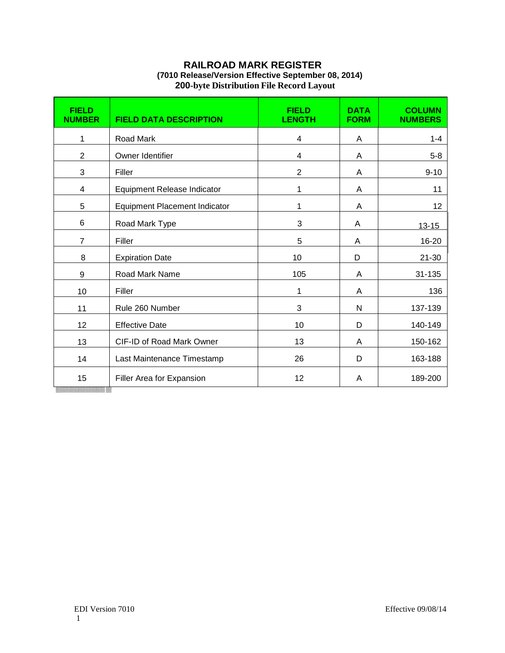## **RAILROAD MARK REGISTER (7010 Release/Version Effective September 08, 2014) 200-byte Distribution File Record Layout**

| <b>FIELD</b><br><b>NUMBER</b> | <b>FIELD DATA DESCRIPTION</b>        | <b>FIELD</b><br><b>LENGTH</b> | <b>DATA</b><br><b>FORM</b> | <b>COLUMN</b><br><b>NUMBERS</b> |
|-------------------------------|--------------------------------------|-------------------------------|----------------------------|---------------------------------|
| 1                             | Road Mark                            | 4                             | A                          | $1 - 4$                         |
| $\overline{2}$                | Owner Identifier                     | 4                             | A                          | $5 - 8$                         |
| 3                             | Filler                               | $\overline{2}$                | A                          | $9 - 10$                        |
| 4                             | Equipment Release Indicator          | 1                             | A                          | 11                              |
| 5                             | <b>Equipment Placement Indicator</b> | 1                             | A                          | 12                              |
| 6                             | Road Mark Type                       | 3                             | A                          | $13 - 15$                       |
| $\overline{7}$                | Filler                               | 5                             | A                          | 16-20                           |
| 8                             | <b>Expiration Date</b>               | 10                            | D                          | $21 - 30$                       |
| $9\,$                         | Road Mark Name                       | 105                           | A                          | 31-135                          |
| 10                            | Filler                               | 1                             | A                          | 136                             |
| 11                            | Rule 260 Number                      | 3                             | N                          | 137-139                         |
| 12                            | <b>Effective Date</b>                | 10                            | D                          | 140-149                         |
| 13                            | CIF-ID of Road Mark Owner            | 13                            | A                          | 150-162                         |
| 14                            | Last Maintenance Timestamp           | 26                            | D                          | 163-188                         |
| 15                            | Filler Area for Expansion            | 12                            | A                          | 189-200                         |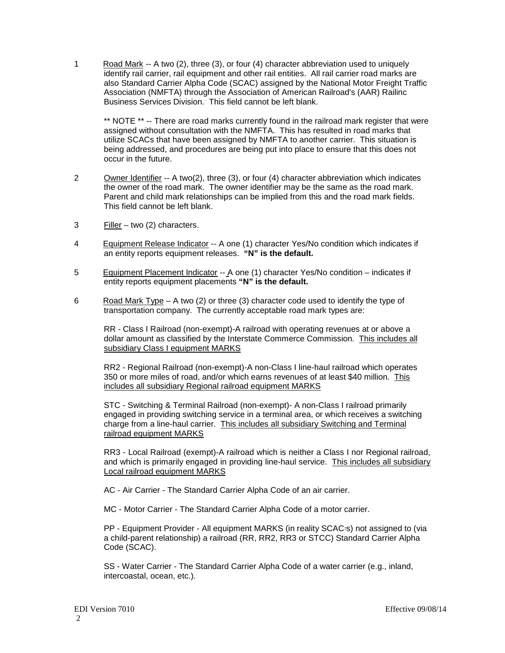1 Road Mark -- A two (2), three (3), or four (4) character abbreviation used to uniquely identify rail carrier, rail equipment and other rail entities. All rail carrier road marks are also Standard Carrier Alpha Code (SCAC) assigned by the National Motor Freight Traffic Association (NMFTA) through the Association of American Railroad's (AAR) Railinc Business Services Division. This field cannot be left blank.

\*\* NOTE \*\* -- There are road marks currently found in the railroad mark register that were assigned without consultation with the NMFTA. This has resulted in road marks that utilize SCACs that have been assigned by NMFTA to another carrier. This situation is being addressed, and procedures are being put into place to ensure that this does not occur in the future.

- 2 Owner Identifier -- A two(2), three (3), or four (4) character abbreviation which indicates the owner of the road mark. The owner identifier may be the same as the road mark. Parent and child mark relationships can be implied from this and the road mark fields. This field cannot be left blank.
- 3 Filler two (2) characters.
- 4 Equipment Release Indicator -- A one (1) character Yes/No condition which indicates if an entity reports equipment releases. **"N" is the default.**
- 5 Equipment Placement Indicator -- A one (1) character Yes/No condition indicates if entity reports equipment placements **"N" is the default.**
- 6 Road Mark Type A two (2) or three (3) character code used to identify the type of transportation company. The currently acceptable road mark types are:

RR - Class I Railroad (non-exempt)-A railroad with operating revenues at or above a dollar amount as classified by the Interstate Commerce Commission. This includes all subsidiary Class I equipment MARKS

RR2 - Regional Railroad (non-exempt)-A non-Class I line-haul railroad which operates 350 or more miles of road, and/or which earns revenues of at least \$40 million. This includes all subsidiary Regional railroad equipment MARKS

STC - Switching & Terminal Railroad (non-exempt)- A non-Class I railroad primarily engaged in providing switching service in a terminal area, or which receives a switching charge from a line-haul carrier. This includes all subsidiary Switching and Terminal railroad equipment MARKS

RR3 - Local Railroad (exempt)-A railroad which is neither a Class I nor Regional railroad, and which is primarily engaged in providing line-haul service. This includes all subsidiary Local railroad equipment MARKS

AC - Air Carrier - The Standard Carrier Alpha Code of an air carrier.

MC - Motor Carrier - The Standard Carrier Alpha Code of a motor carrier.

PP - Equipment Provider - All equipment MARKS (in reality SCAC=s) not assigned to (via a child-parent relationship) a railroad (RR, RR2, RR3 or STCC) Standard Carrier Alpha Code (SCAC).

SS - Water Carrier - The Standard Carrier Alpha Code of a water carrier (e.g., inland, intercoastal, ocean, etc.).